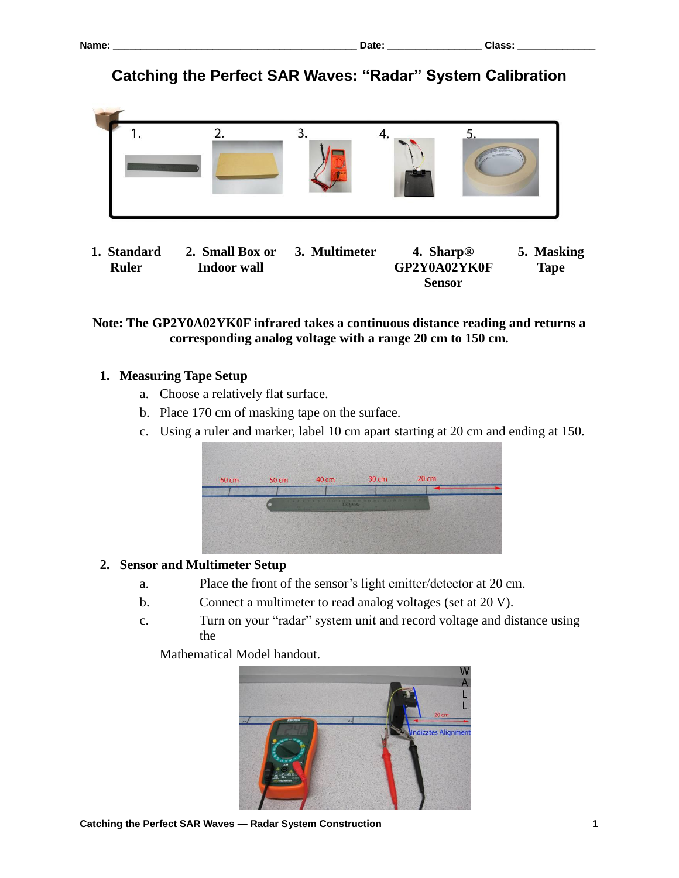# **Catching the Perfect SAR Waves: "Radar" System Calibration**



**1. Standard Ruler 2. Small Box or Indoor wall 3. Multimeter 4. Sharp® GP2Y0A02YK0F Sensor 5. Masking Tape**

#### **Note: The GP2Y0A02YK0F infrared takes a continuous distance reading and returns a corresponding analog voltage with a range 20 cm to 150 cm.**

## **1. Measuring Tape Setup**

- a. Choose a relatively flat surface.
- b. Place 170 cm of masking tape on the surface.
- c. Using a ruler and marker, label 10 cm apart starting at 20 cm and ending at 150.



## **2. Sensor and Multimeter Setup**

- a. Place the front of the sensor's light emitter/detector at 20 cm.
- b. Connect a multimeter to read analog voltages (set at 20 V).
- c. Turn on your "radar" system unit and record voltage and distance using the

Mathematical Model handout.



**Catching the Perfect SAR Waves — Radar System Construction 1**